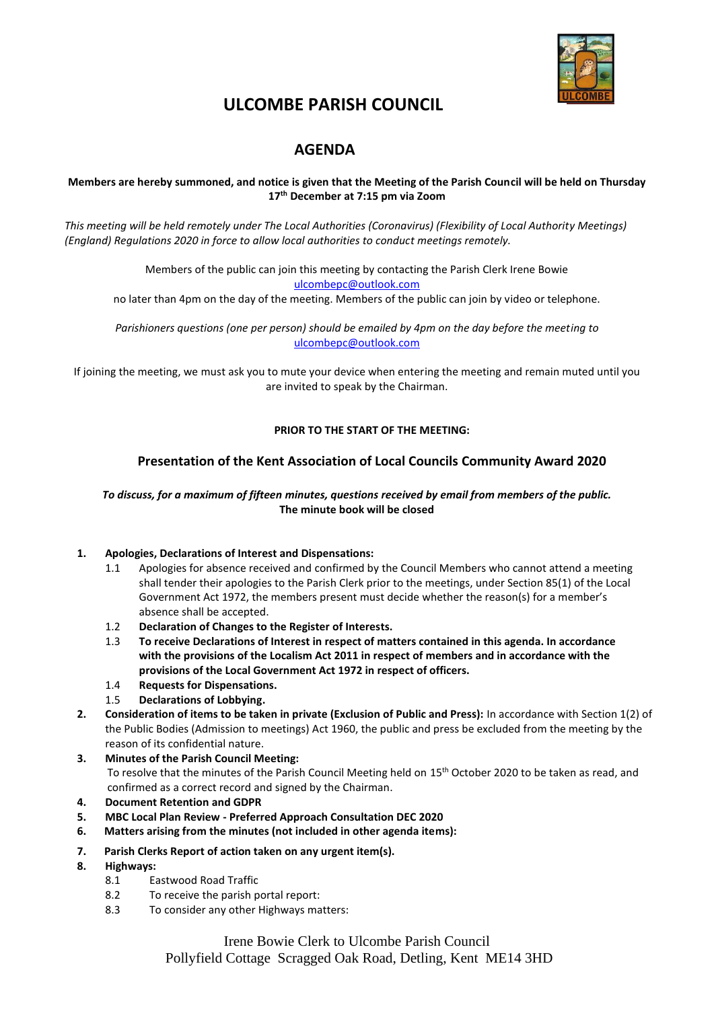

## **ULCOMBE PARISH COUNCIL**

### **AGENDA**

#### **Members are hereby summoned, and notice is given that the Meeting of the Parish Council will be held on Thursday 17th December at 7:15 pm via Zoom**

*This meeting will be held remotely under The Local Authorities (Coronavirus) (Flexibility of Local Authority Meetings) (England) Regulations 2020 in force to allow local authorities to conduct meetings remotely.*

> Members of the public can join this meeting by contacting the Parish Clerk Irene Bowie [ulcombepc@outlook.com](mailto:ulcombepc@outlook.com)

no later than 4pm on the day of the meeting. Members of the public can join by video or telephone.

*Parishioners questions (one per person) should be emailed by 4pm on the day before the meeting to* [ulcombepc@outlook.com](mailto:ulcombepc@outlook.com)

If joining the meeting, we must ask you to mute your device when entering the meeting and remain muted until you are invited to speak by the Chairman.

#### **PRIOR TO THE START OF THE MEETING:**

#### **Presentation of the Kent Association of Local Councils Community Award 2020**

#### *To discuss, for a maximum of fifteen minutes, questions received by email from members of the public.* **The minute book will be closed**

#### **1. Apologies, Declarations of Interest and Dispensations:**

- 1.1 Apologies for absence received and confirmed by the Council Members who cannot attend a meeting shall tender their apologies to the Parish Clerk prior to the meetings, under Section 85(1) of the Local Government Act 1972, the members present must decide whether the reason(s) for a member's absence shall be accepted.
- 1.2 **Declaration of Changes to the Register of Interests.**
- 1.3 **To receive Declarations of Interest in respect of matters contained in this agenda. In accordance with the provisions of the Localism Act 2011 in respect of members and in accordance with the provisions of the Local Government Act 1972 in respect of officers.**
- 1.4 **Requests for Dispensations.**
- 1.5 **Declarations of Lobbying.**
- **2. Consideration of items to be taken in private (Exclusion of Public and Press):** In accordance with Section 1(2) of the Public Bodies (Admission to meetings) Act 1960, the public and press be excluded from the meeting by the reason of its confidential nature.
- **3. Minutes of the Parish Council Meeting:**  To resolve that the minutes of the Parish Council Meeting held on 15th October 2020 to be taken as read, and confirmed as a correct record and signed by the Chairman.
- **4. Document Retention and GDPR**
- **5. MBC Local Plan Review - Preferred Approach Consultation DEC 2020**
- **6. Matters arising from the minutes (not included in other agenda items):**
- **7. Parish Clerks Report of action taken on any urgent item(s).**
- **8. Highways:**
	- 8.1 Eastwood Road Traffic
	- 8.2 To receive the parish portal report:
	- 8.3 To consider any other Highways matters:

Irene Bowie Clerk to Ulcombe Parish Council Pollyfield Cottage Scragged Oak Road, Detling, Kent ME14 3HD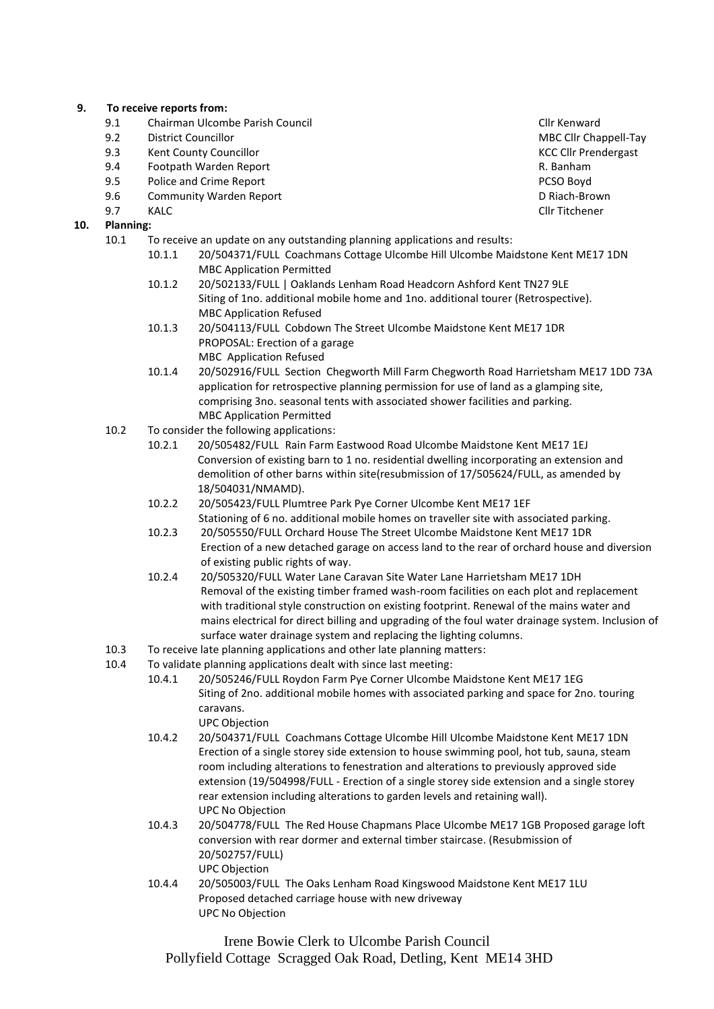#### **9. To receive reports from:**

- 9.1 Chairman Ulcombe Parish Council Clinks and Clinks and Clinks Clinks Clinks Clinks Clinks Clinks Clinks Clinks Clinks Clinks Clinks Clinks Clinks Clinks Clinks Clinks Clinks Clinks Clinks Clinks Clinks Clinks Clinks Cli
- 
- 9.3 Kent County Councillor<br>9.4 Footpath Warden Repo
- 9.4 Footpath Warden Report R. Banham
- external police and Crime Report **PCSO Boyd PCSO Boyd**
- 9.6 Community Warden Report D Riach-Brown
- **10. Planning:**
	- 10.1 To receive an update on any outstanding planning applications and results:
		- 10.1.1 20/504371/FULL Coachmans Cottage Ulcombe Hill Ulcombe Maidstone Kent ME17 1DN MBC Application Permitted
		- 10.1.2 20/502133/FULL | Oaklands Lenham Road Headcorn Ashford Kent TN27 9LE Siting of 1no. additional mobile home and 1no. additional tourer (Retrospective). MBC Application Refused
		- 10.1.3 20/504113/FULL Cobdown The Street Ulcombe Maidstone Kent ME17 1DR PROPOSAL: Erection of a garage MBC Application Refused
		- 10.1.4 20/502916/FULL Section Chegworth Mill Farm Chegworth Road Harrietsham ME17 1DD 73A application for retrospective planning permission for use of land as a glamping site, comprising 3no. seasonal tents with associated shower facilities and parking. MBC Application Permitted
	- 10.2 To consider the following applications:
		- 10.2.1 20/505482/FULL Rain Farm Eastwood Road Ulcombe Maidstone Kent ME17 1EJ Conversion of existing barn to 1 no. residential dwelling incorporating an extension and demolition of other barns within site(resubmission of 17/505624/FULL, as amended by 18/504031/NMAMD).
		- 10.2.2 20/505423/FULL Plumtree Park Pye Corner Ulcombe Kent ME17 1EF Stationing of 6 no. additional mobile homes on traveller site with associated parking.
		- 10.2.3 20/505550/FULL Orchard House The Street Ulcombe Maidstone Kent ME17 1DR Erection of a new detached garage on access land to the rear of orchard house and diversion of existing public rights of way.
		- 10.2.4 20/505320/FULL Water Lane Caravan Site Water Lane Harrietsham ME17 1DH Removal of the existing timber framed wash-room facilities on each plot and replacement with traditional style construction on existing footprint. Renewal of the mains water and mains electrical for direct billing and upgrading of the foul water drainage system. Inclusion of surface water drainage system and replacing the lighting columns.
	- 10.3 To receive late planning applications and other late planning matters:
	- 10.4 To validate planning applications dealt with since last meeting:
		- 10.4.1 20/505246/FULL Roydon Farm Pye Corner Ulcombe Maidstone Kent ME17 1EG Siting of 2no. additional mobile homes with associated parking and space for 2no. touring caravans.

UPC Objection

- 10.4.2 20/504371/FULL Coachmans Cottage Ulcombe Hill Ulcombe Maidstone Kent ME17 1DN Erection of a single storey side extension to house swimming pool, hot tub, sauna, steam room including alterations to fenestration and alterations to previously approved side extension (19/504998/FULL - Erection of a single storey side extension and a single storey rear extension including alterations to garden levels and retaining wall). UPC No Objection
- 10.4.3 20/504778/FULL The Red House Chapmans Place Ulcombe ME17 1GB Proposed garage loft conversion with rear dormer and external timber staircase. (Resubmission of 20/502757/FULL) UPC Objection
- 10.4.4 20/505003/FULL The Oaks Lenham Road Kingswood Maidstone Kent ME17 1LU Proposed detached carriage house with new driveway UPC No Objection

Irene Bowie Clerk to Ulcombe Parish Council Pollyfield Cottage Scragged Oak Road, Detling, Kent ME14 3HD

9.2 District Councillor **District Councillor** Department of the MBC Cllr Chappell-Tay **MBC Cllr Chappell-Tay**<br>9.3 Kent County Councillor 9.7 KALC Cllr Titchener